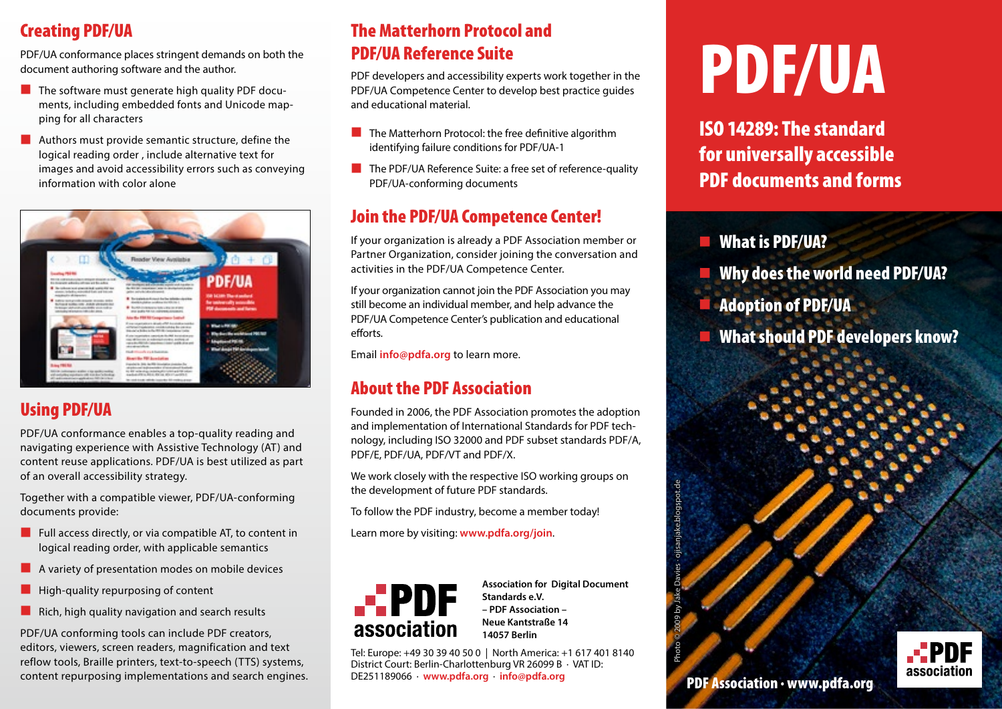## Creating PDF/UA

PDF/UA conformance places stringent demands on both the document authoring software and the author.

- $\blacksquare$  The software must generate high quality PDF documents, including embedded fonts and Unicode mapping for all characters
- $\blacksquare$  Authors must provide semantic structure, define the logical reading order , include alternative text for images and avoid accessibility errors such as conveying information with color alone



## Using PDF/UA

PDF/UA conformance enables a top-quality reading and navigating experience with Assistive Technology (AT) and content reuse applications. PDF/UA is best utilized as part of an overall accessibility strategy.

Together with a compatible viewer, PDF/UA-conforming documents provide:

- $\blacksquare$  Full access directly, or via compatible AT, to content in logical reading order, with applicable semantics
- █ A variety of presentation modes on mobile devices
- High-quality repurposing of content
- $\blacksquare$  Rich, high quality navigation and search results

PDF/UA conforming tools can include PDF creators, editors, viewers, screen readers, magnification and text reflow tools, Braille printers, text-to-speech (TTS) systems, content repurposing implementations and search engines.

## The Matterhorn Protocol and PDF/UA Reference Suite

PDF developers and accessibility experts work together in the PDF/UA Competence Center to develop best practice guides and educational material.

- **EXTERCH** The Matterhorn Protocol: the free definitive algorithm identifying failure conditions for PDF/UA-1
- The PDF/UA Reference Suite: a free set of reference-quality PDF/UA-conforming documents

## Join the PDF/UA Competence Center!

If your organization is already a PDF Association member or Partner Organization, consider joining the conversation and activities in the PDF/UA Competence Center.

If your organization cannot join the PDF Association you may still become an individual member, and help advance the PDF/UA Competence Center's publication and educational efforts.

Email **[info@pdfa.org](mailto:info%40pdfa.org?subject=)** to learn more.

## About the PDF Association

Founded in 2006, the PDF Association promotes the adoption and implementation of International Standards for PDF technology, including ISO 32000 and PDF subset standards PDF/A, PDF/E, PDF/UA, PDF/VT and PDF/X.

We work closely with the respective ISO working groups on the development of future PDF standards.

To follow the PDF industry, become a member today!

Learn more by visiting: **[www.pdfa.org/join](http://pdfa.org/join)**.



**Association for Digital Document Standards e.V. – PDF Association – Neue Kantstraße 14 14057 Berlin**

Tel: Europe: +49 30 39 40 50 0 | North America: +1 617 401 8140 District Court: Berlin-Charlottenburg VR 26099 B · VAT ID:<br>DE251189066 · www.pdfa.org · info@pdfa.org To follow the PDF industry, become a member today!<br>
Learn more by visiting: www.pdfa.org/join.<br> **association for Digital Document**<br> **information**<br> **association**<br> **association**<br> **association**<br> **association**<br> **association**<br>

# PDF/UA

ISO 14289: The standard for universally accessible PDF documents and forms

#### **E** What is PDF/UA?

- Why does the world need PDF/UA?
- █ Adoption of PDF/UA
- **E** What should PDF developers know?